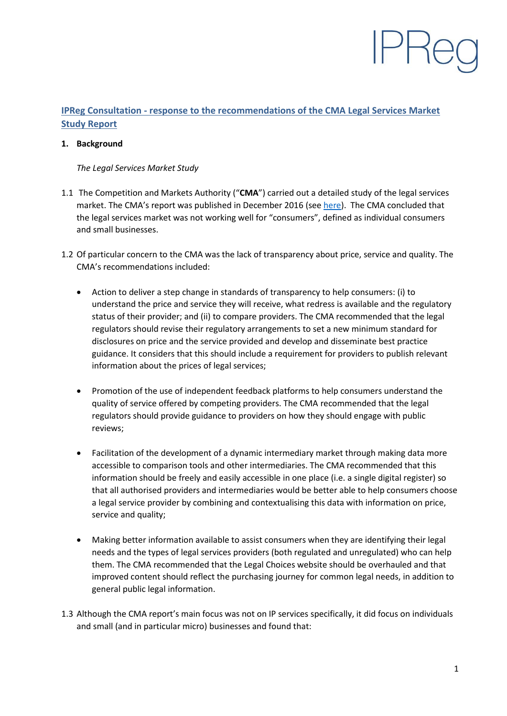# **IPReg Consultation - response to the recommendations of the CMA Legal Services Market Study Report**

#### **1. Background**

#### *The Legal Services Market Study*

- 1.1 The Competition and Markets Authority ("**CMA**") carried out a detailed study of the legal services market. The CMA's report was published in December 2016 (see [here\)](https://assets.publishing.service.gov.uk/media/5887374d40f0b6593700001a/legal-services-market-study-final-report.pdf). The CMA concluded that the legal services market was not working well for "consumers", defined as individual consumers and small businesses.
- 1.2 Of particular concern to the CMA was the lack of transparency about price, service and quality. The CMA's recommendations included:
	- Action to deliver a step change in standards of transparency to help consumers: (i) to understand the price and service they will receive, what redress is available and the regulatory status of their provider; and (ii) to compare providers. The CMA recommended that the legal regulators should revise their regulatory arrangements to set a new minimum standard for disclosures on price and the service provided and develop and disseminate best practice guidance. It considers that this should include a requirement for providers to publish relevant information about the prices of legal services;
	- Promotion of the use of independent feedback platforms to help consumers understand the quality of service offered by competing providers. The CMA recommended that the legal regulators should provide guidance to providers on how they should engage with public reviews;
	- Facilitation of the development of a dynamic intermediary market through making data more accessible to comparison tools and other intermediaries. The CMA recommended that this information should be freely and easily accessible in one place (i.e. a single digital register) so that all authorised providers and intermediaries would be better able to help consumers choose a legal service provider by combining and contextualising this data with information on price, service and quality;
	- Making better information available to assist consumers when they are identifying their legal needs and the types of legal services providers (both regulated and unregulated) who can help them. The CMA recommended that the Legal Choices website should be overhauled and that improved content should reflect the purchasing journey for common legal needs, in addition to general public legal information.
- 1.3 Although the CMA report's main focus was not on IP services specifically, it did focus on individuals and small (and in particular micro) businesses and found that: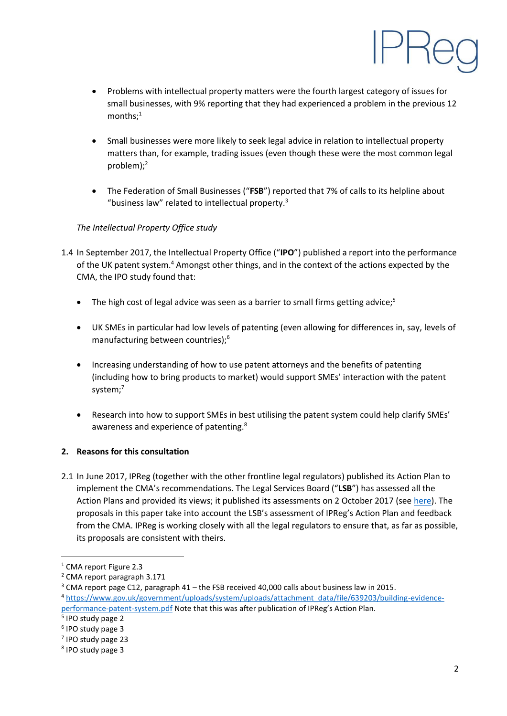

- Problems with intellectual property matters were the fourth largest category of issues for small businesses, with 9% reporting that they had experienced a problem in the previous 12 months;<sup>1</sup>
- Small businesses were more likely to seek legal advice in relation to intellectual property matters than, for example, trading issues (even though these were the most common legal problem);<sup>2</sup>
- The Federation of Small Businesses ("**FSB**") reported that 7% of calls to its helpline about "business law" related to intellectual property. $3$

# *The Intellectual Property Office study*

- 1.4 In September 2017, the Intellectual Property Office ("**IPO**") published a report into the performance of the UK patent system.<sup>4</sup> Amongst other things, and in the context of the actions expected by the CMA, the IPO study found that:
	- The high cost of legal advice was seen as a barrier to small firms getting advice;<sup>5</sup>
	- UK SMEs in particular had low levels of patenting (even allowing for differences in, say, levels of manufacturing between countries); 6
	- Increasing understanding of how to use patent attorneys and the benefits of patenting (including how to bring products to market) would support SMEs' interaction with the patent system;<sup>7</sup>
	- Research into how to support SMEs in best utilising the patent system could help clarify SMEs' awareness and experience of patenting.<sup>8</sup>

## **2. Reasons for this consultation**

2.1 In June 2017, IPReg (together with the other frontline legal regulators) published its Action Plan to implement the CMA's recommendations. The Legal Services Board ("**LSB**") has assessed all the Action Plans and provided its views; it published its assessments on 2 October 2017 (see [here\)](http://www.legalservicesboard.org.uk/Projects/Increasing_Market_Transparency_For_Consumers.htm#Action_Plan). The proposals in this paper take into account the LSB's assessment of IPReg's Action Plan and feedback from the CMA. IPReg is working closely with all the legal regulators to ensure that, as far as possible, its proposals are consistent with theirs.

1

<sup>&</sup>lt;sup>1</sup> CMA report Figure 2.3

<sup>2</sup> CMA report paragraph 3.171

<sup>3</sup> CMA report page C12, paragraph 41 – the FSB received 40,000 calls about business law in 2015. <sup>4</sup> [https://www.gov.uk/government/uploads/system/uploads/attachment\\_data/file/639203/building-evidence](https://www.gov.uk/government/uploads/system/uploads/attachment_data/file/639203/building-evidence-performance-patent-system.pdf)[performance-patent-system.pdf](https://www.gov.uk/government/uploads/system/uploads/attachment_data/file/639203/building-evidence-performance-patent-system.pdf) Note that this was after publication of IPReg's Action Plan.

<sup>5</sup> IPO study page 2

<sup>6</sup> IPO study page 3

<sup>7</sup> IPO study page 23

<sup>8</sup> IPO study page 3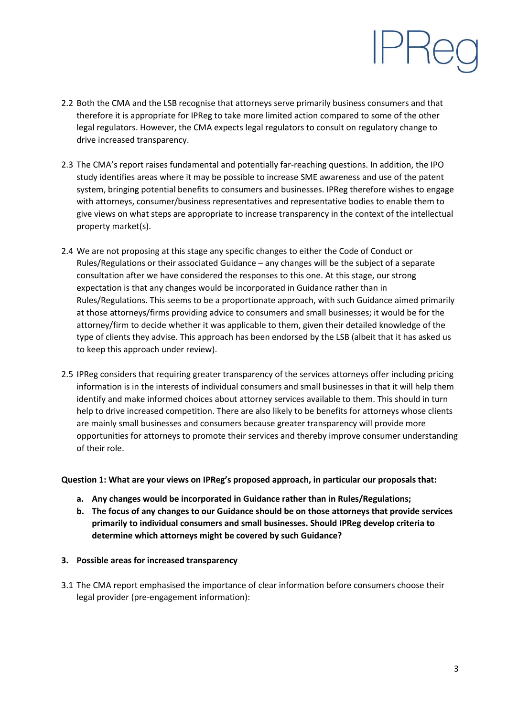- 2.2 Both the CMA and the LSB recognise that attorneys serve primarily business consumers and that therefore it is appropriate for IPReg to take more limited action compared to some of the other legal regulators. However, the CMA expects legal regulators to consult on regulatory change to drive increased transparency.
- 2.3 The CMA's report raises fundamental and potentially far-reaching questions. In addition, the IPO study identifies areas where it may be possible to increase SME awareness and use of the patent system, bringing potential benefits to consumers and businesses. IPReg therefore wishes to engage with attorneys, consumer/business representatives and representative bodies to enable them to give views on what steps are appropriate to increase transparency in the context of the intellectual property market(s).
- 2.4 We are not proposing at this stage any specific changes to either the Code of Conduct or Rules/Regulations or their associated Guidance – any changes will be the subject of a separate consultation after we have considered the responses to this one. At this stage, our strong expectation is that any changes would be incorporated in Guidance rather than in Rules/Regulations. This seems to be a proportionate approach, with such Guidance aimed primarily at those attorneys/firms providing advice to consumers and small businesses; it would be for the attorney/firm to decide whether it was applicable to them, given their detailed knowledge of the type of clients they advise. This approach has been endorsed by the LSB (albeit that it has asked us to keep this approach under review).
- 2.5 IPReg considers that requiring greater transparency of the services attorneys offer including pricing information is in the interests of individual consumers and small businesses in that it will help them identify and make informed choices about attorney services available to them. This should in turn help to drive increased competition. There are also likely to be benefits for attorneys whose clients are mainly small businesses and consumers because greater transparency will provide more opportunities for attorneys to promote their services and thereby improve consumer understanding of their role.

#### **Question 1: What are your views on IPReg's proposed approach, in particular our proposals that:**

- **a. Any changes would be incorporated in Guidance rather than in Rules/Regulations;**
- **b. The focus of any changes to our Guidance should be on those attorneys that provide services primarily to individual consumers and small businesses. Should IPReg develop criteria to determine which attorneys might be covered by such Guidance?**

#### **3. Possible areas for increased transparency**

3.1 The CMA report emphasised the importance of clear information before consumers choose their legal provider (pre-engagement information):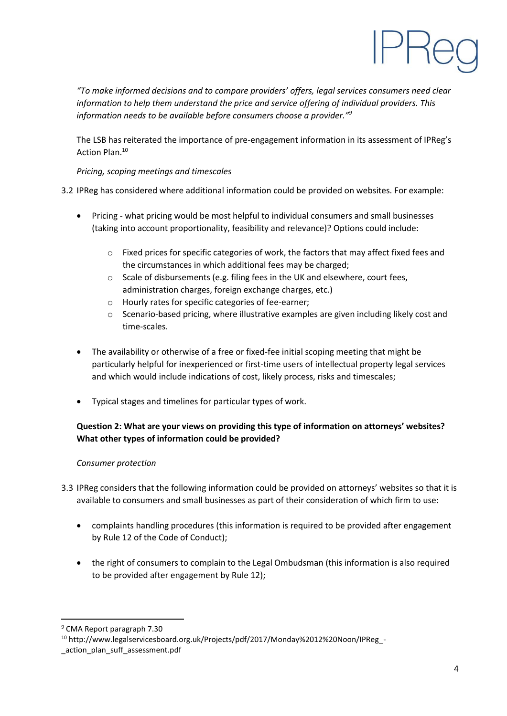

*"To make informed decisions and to compare providers' offers, legal services consumers need clear information to help them understand the price and service offering of individual providers. This information needs to be available before consumers choose a provider."<sup>9</sup>*

The LSB has reiterated the importance of pre-engagement information in its assessment of IPReg's Action Plan.<sup>10</sup>

*Pricing, scoping meetings and timescales*

## 3.2 IPReg has considered where additional information could be provided on websites. For example:

- Pricing what pricing would be most helpful to individual consumers and small businesses (taking into account proportionality, feasibility and relevance)? Options could include:
	- o Fixed prices for specific categories of work, the factors that may affect fixed fees and the circumstances in which additional fees may be charged;
	- o Scale of disbursements (e.g. filing fees in the UK and elsewhere, court fees, administration charges, foreign exchange charges, etc.)
	- o Hourly rates for specific categories of fee-earner;
	- o Scenario-based pricing, where illustrative examples are given including likely cost and time-scales.
- The availability or otherwise of a free or fixed-fee initial scoping meeting that might be particularly helpful for inexperienced or first-time users of intellectual property legal services and which would include indications of cost, likely process, risks and timescales;
- Typical stages and timelines for particular types of work.

# **Question 2: What are your views on providing this type of information on attorneys' websites? What other types of information could be provided?**

## *Consumer protection*

- 3.3 IPReg considers that the following information could be provided on attorneys' websites so that it is available to consumers and small businesses as part of their consideration of which firm to use:
	- complaints handling procedures (this information is required to be provided after engagement by Rule 12 of the Code of Conduct);
	- the right of consumers to complain to the Legal Ombudsman (this information is also required to be provided after engagement by Rule 12);

**.** 

<sup>9</sup> CMA Report paragraph 7.30

<sup>10</sup> http://www.legalservicesboard.org.uk/Projects/pdf/2017/Monday%2012%20Noon/IPReg\_-

\_action\_plan\_suff\_assessment.pdf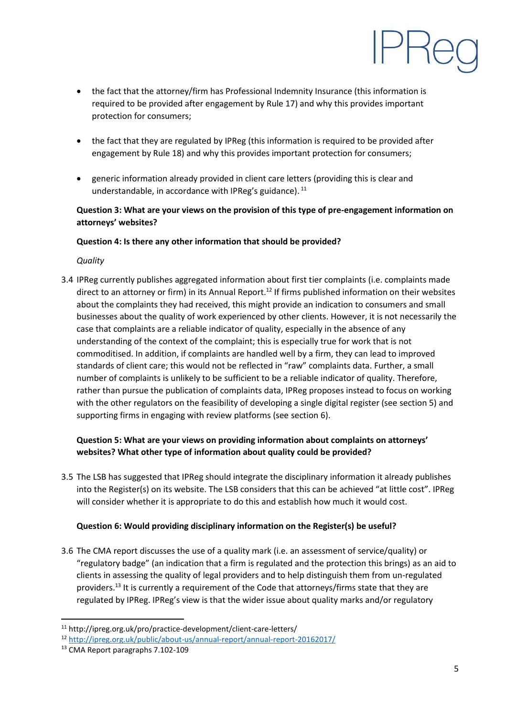- the fact that the attorney/firm has Professional Indemnity Insurance (this information is required to be provided after engagement by Rule 17) and why this provides important protection for consumers;
- the fact that they are regulated by IPReg (this information is required to be provided after engagement by Rule 18) and why this provides important protection for consumers;
- generic information already provided in client care letters (providing this is clear and understandable, in accordance with IPReg's guidance).<sup>11</sup>

# **Question 3: What are your views on the provision of this type of pre-engagement information on attorneys' websites?**

## **Question 4: Is there any other information that should be provided?**

*Quality*

3.4 IPReg currently publishes aggregated information about first tier complaints (i.e. complaints made direct to an attorney or firm) in its Annual Report.<sup>12</sup> If firms published information on their websites about the complaints they had received, this might provide an indication to consumers and small businesses about the quality of work experienced by other clients. However, it is not necessarily the case that complaints are a reliable indicator of quality, especially in the absence of any understanding of the context of the complaint; this is especially true for work that is not commoditised. In addition, if complaints are handled well by a firm, they can lead to improved standards of client care; this would not be reflected in "raw" complaints data. Further, a small number of complaints is unlikely to be sufficient to be a reliable indicator of quality. Therefore, rather than pursue the publication of complaints data, IPReg proposes instead to focus on working with the other regulators on the feasibility of developing a single digital register (see section 5) and supporting firms in engaging with review platforms (see section 6).

# **Question 5: What are your views on providing information about complaints on attorneys' websites? What other type of information about quality could be provided?**

3.5 The LSB has suggested that IPReg should integrate the disciplinary information it already publishes into the Register(s) on its website. The LSB considers that this can be achieved "at little cost". IPReg will consider whether it is appropriate to do this and establish how much it would cost.

## **Question 6: Would providing disciplinary information on the Register(s) be useful?**

3.6 The CMA report discusses the use of a quality mark (i.e. an assessment of service/quality) or "regulatory badge" (an indication that a firm is regulated and the protection this brings) as an aid to clients in assessing the quality of legal providers and to help distinguish them from un-regulated providers. <sup>13</sup> It is currently a requirement of the Code that attorneys/firms state that they are regulated by IPReg. IPReg's view is that the wider issue about quality marks and/or regulatory

**.** 

<sup>11</sup> http://ipreg.org.uk/pro/practice-development/client-care-letters/

<sup>12</sup> <http://ipreg.org.uk/public/about-us/annual-report/annual-report-20162017/>

<sup>13</sup> CMA Report paragraphs 7.102-109